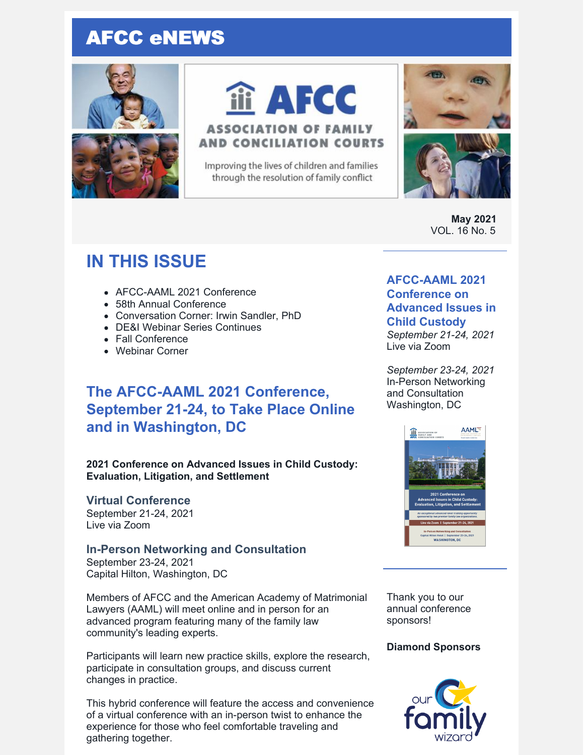# AFCC eNEWS





# iii AFCC

# **ASSOCIATION OF FAMILY AND CONCILIATION COURTS**

Improving the lives of children and families through the resolution of family conflict



**May 2021** VOL. 16 No. 5

# **IN THIS ISSUE**

- AFCC-AAML 2021 Conference
- 58th Annual Conference
- Conversation Corner: Irwin Sandler, PhD
- DE&I Webinar Series Continues
- Fall Conference
- Webinar Corner

# **The AFCC-AAML 2021 Conference, September 21-24, to Take Place Online and in Washington, DC**

**2021 Conference on Advanced Issues in Child Custody: Evaluation, Litigation, and Settlement**

## **Virtual Conference**

September 21-24, 2021 Live via Zoom

## **In-Person Networking and Consultation**

September 23-24, 2021 Capital Hilton, Washington, DC

Members of AFCC and the American Academy of Matrimonial Lawyers (AAML) will meet online and in person for an advanced program featuring many of the family law community's leading experts.

Participants will learn new practice skills, explore the research, participate in consultation groups, and discuss current changes in practice.

This hybrid conference will feature the access and convenience of a virtual conference with an in-person twist to enhance the experience for those who feel comfortable traveling and gathering together.

## **AFCC-AAML 2021 Conference on Advanced Issues in**

## **Child Custody**

*September 21-24, 2021* Live via Zoom

*September 23-24, 2021* In-Person Networking and Consultation Washington, DC



Thank you to our annual conference sponsors!

## **Diamond Sponsors**

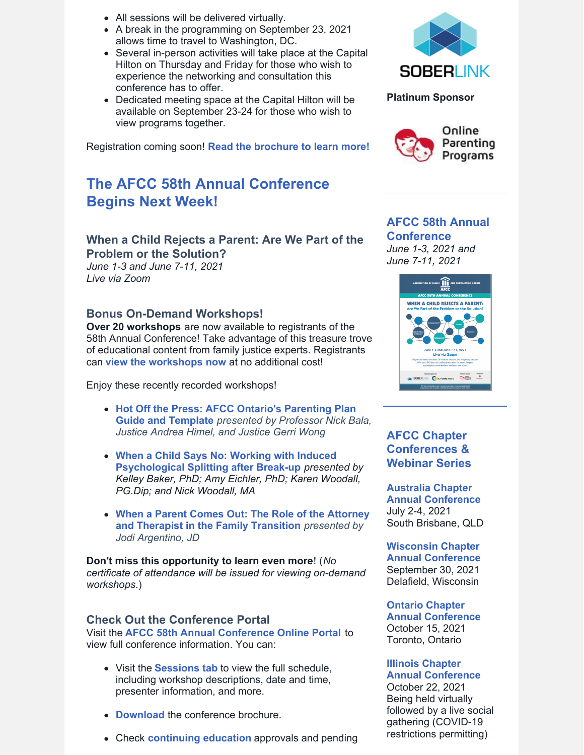- All sessions will be delivered virtually.
- A break in the programming on September 23, 2021 allows time to travel to Washington, DC.
- Several in-person activities will take place at the Capital Hilton on Thursday and Friday for those who wish to experience the networking and consultation this conference has to offer.
- Dedicated meeting space at the Capital Hilton will be available on September 23-24 for those who wish to view programs together.

Registration coming soon! **Read the [brochure](https://www.afccnet.org/Portals/0/Conferences/AFCC-AAML Conference Brochure.pdf) to learn more!**

# **The AFCC 58th Annual Conference Begins Next Week!**

## **When a Child Rejects a Parent: Are We Part of the Problem or the Solution?**

*June 1-3 and June 7-11, 2021 Live via Zoom*

#### **Bonus On-Demand Workshops!**

**Over 20 workshops** are now available to registrants of the 58th Annual Conference! Take advantage of this treasure trove of educational content from family justice experts. Registrants can **view the [workshops](https://www.afccnet.org/58thannualconference/On-Demand-Workshops) now** at no additional cost!

Enjoy these recently recorded workshops!

- **Hot Off the Press: A[F](https://www.afccnet.org/58thannualconference/On-Demand-Workshops/ctl/ViewWebinar/WebinarID/25/mid/1279)CC Ontario's [Parenting](https://www.afccnet.org/58thannualconference/On-Demand-Workshops/ctl/ViewWebinar/WebinarID/25/mid/1279) Plan Guide and Template** *presented by Professor Nick Bala, Justice Andrea Himel, and Justice Gerri Wong*
- **When a Child Says No: Working with Induced [Psychological](https://www.afccnet.org/58thannualconference/On-Demand-Workshops/ctl/ViewWebinar/WebinarID/39/mid/1279) Splitting after Break-up** *presented by Kelley Baker, PhD; Amy Eichler, PhD; Karen Woodall, PG.Dip; and Nick Woodall, MA*
- **When a Parent Comes Out: The Role of the Attorney and Therapist in the Family [Transition](https://www.afccnet.org/58thannualconference/On-Demand-Workshops/ctl/ViewWebinar/WebinarID/43/mid/1278)** *presented by Jodi Argentino, JD*

**Don't miss this opportunity to learn even more**! (*No certificate of attendance will be issued for viewing on-demand workshops*.)

#### **Check Out the Conference Portal**

Visit the **AFCC 58th Annual [Conference](https://www.afccnet.org/58thannualconference/) Online Portal** to view full conference information. You can:

- Visit the **[Sessions](https://www.afccnet.org/58thannualconference/Sessions) tab** to view the full schedule, including workshop descriptions, date and time, presenter information, and more.
- **[Download](https://www.afccnet.org/Portals/7/AFCC 58th Annual Conference Brochure_1.pdf)** the conference brochure.
- Check **[continuing](https://www.afccnet.org/58thannualconference/Continuing-Ed) education** approvals and pending





#### **AFCC 58th Annual Conference**

*June 1-3, 2021 and June 7-11, 2021*



## **AFCC Chapter Conferences & Webinar Series**

**Australia Chapter Annual [Conference](http://afccnet.org.au/conferences/)** July 2-4, 2021 South Brisbane, QLD

**[Wisconsin](http://www.afccwi.org/Index.html) Chapter Annual Conference** September 30, 2021 Delafield, Wisconsin

**Ontario Chapter Annual [Conference](https://afccontario.ca/)** October 15, 2021 Toronto, Ontario

#### **Illinois Chapter**

**Annual [Conference](http://www.afccillinois.org/event-4080853)** October 22, 2021 Being held virtually followed by a live social gathering (COVID-19 restrictions permitting)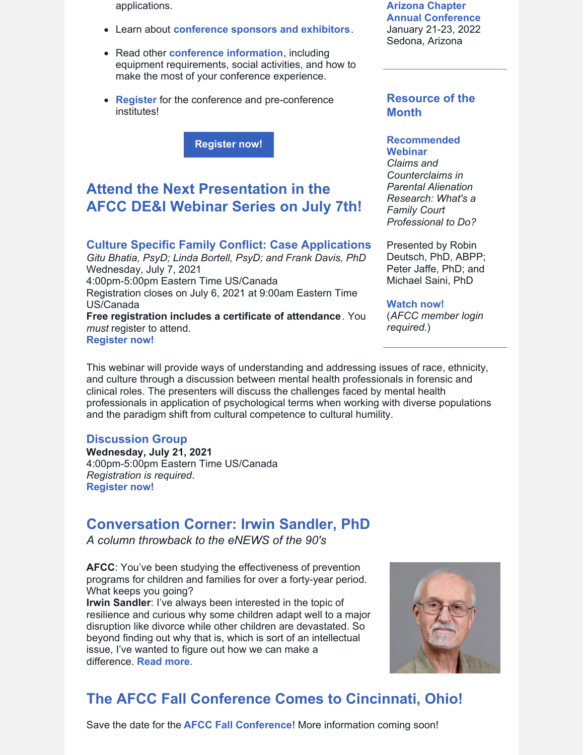applications.

- Learn about **[conference](https://www.afccnet.org/58thannualconference/Sponsors) sponsors and exhibitors**.
- Read other **conference [information](https://www.afccnet.org/58thannualconference/More-Info)**, including equipment requirements, social activities, and how to make the most of your conference experience.
- **[Register](https://members.afccnet.org/events/event-registration/?id=c8475628-5321-4332-93c3-20358b9d98fb)** for the conference and pre-conference institutes!

**[Register](https://www.afccnet.org/58thannualconference/) now!**

# **Attend the Next Presentation in the AFCC DE&I Webinar Series on July 7th!**

#### **Culture Specific Family Conflict: Case [Applications](https://www.afccnet.org/Conferences-Training/Webinars/ctl/ViewConference/ConferenceID/430/mid/772)** *Gitu Bhatia, PsyD; Linda Bortell, PsyD; and Frank Davis, PhD* Wednesday, July 7, 2021 4:00pm-5:00pm Eastern Time US/Canada Registration closes on July 6, 2021 at 9:00am Eastern Time US/Canada **Free registration includes a certificate of attendance**. You *must* register to attend. **[Register](https://www.afccnet.org/Conferences-Training/Webinars/ctl/ViewConference/ConferenceID/430/mid/772) now!**

**Arizona Chapter Annual [Conference](https://www.azafcc.org/)** January 21-23, 2022 Sedona, Arizona

#### **Resource of the Month**

#### **Recommended Webinar**

*Claims and Counterclaims in Parental Alienation Research: What's a Family Court Professional to Do?*

Presented by Robin Deutsch, PhD, ABPP; Peter Jaffe, PhD; and Michael Saini, PhD

**[Watch](https://www.afccnet.org/Member-Center/Webinar-Archives/ctl/ViewConference/ConferenceID/409/mid/776) now!** (*AFCC member login required*.)

This webinar will provide ways of understanding and addressing issues of race, ethnicity, and culture through a discussion between mental health professionals in forensic and clinical roles. The presenters will discuss the challenges faced by mental health professionals in application of psychological terms when working with diverse populations and the paradigm shift from cultural competence to cultural humility.

#### **Discussion Group**

**Wednesday, July 21, 2021** 4:00pm-5:00pm Eastern Time US/Canada *Registration is required*. **[Register](https://us02web.zoom.us/meeting/register/tZMsc--hpzwiGNwcGrwhpXUJ_UxD9il3H1mE) now!**

# **Conversation Corner: Irwin Sandler, PhD**

*A column throwback to the eNEWS of the 90's*

**AFCC**: You've been studying the effectiveness of prevention programs for children and families for over a forty-year period. What keeps you going?

**Irwin Sandler**: I've always been interested in the topic of resilience and curious why some children adapt well to a major disruption like divorce while other children are devastated. So beyond finding out why that is, which is sort of an intellectual issue, I've wanted to figure out how we can make a difference. **[Read](https://files.constantcontact.com/6beb60a3701/c90ce87f-8ae4-41ae-a4fe-35151cd27a47.pdf) more**.



# **The AFCC Fall Conference Comes to Cincinnati, Ohio!**

Save the date for the **AFCC Fall [Conference](https://www.afccnet.org/Conferences-Training/AFCC-Conferences/ctl/ViewConference/ConferenceID/362/mid/615)**! More information coming soon!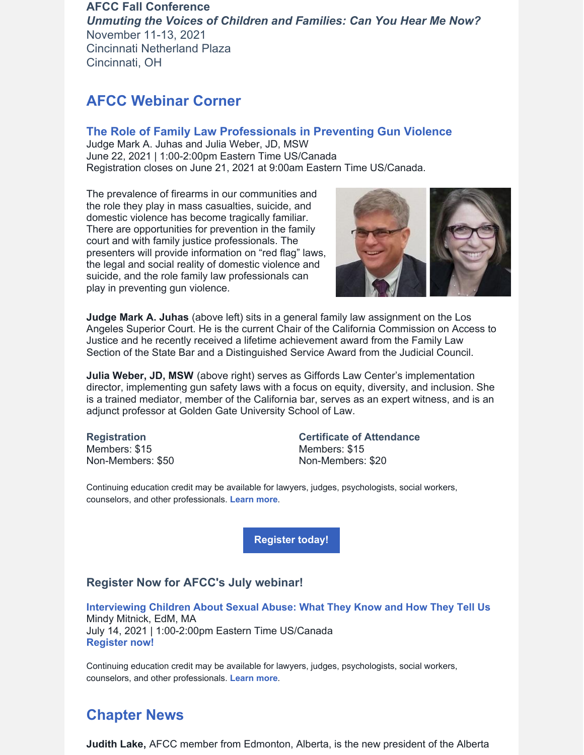## **AFCC Fall Conference** *Unmuting the Voices of Children and Families: Can You Hear Me Now?* November 11-13, 2021 Cincinnati Netherland Plaza Cincinnati, OH

# **AFCC Webinar Corner**

#### **The Role of Family Law [Professionals](https://www.afccnet.org/Conferences-Training/Webinars/ctl/ViewConference/ConferenceID/389/mid/772) in Preventing Gun Violence**

Judge Mark A. Juhas and Julia Weber, JD, MSW June 22, 2021 | 1:00-2:00pm Eastern Time US/Canada Registration closes on June 21, 2021 at 9:00am Eastern Time US/Canada.

The prevalence of firearms in our communities and the role they play in mass casualties, suicide, and domestic violence has become tragically familiar. There are opportunities for prevention in the family court and with family justice professionals. The presenters will provide information on "red flag" laws, the legal and social reality of domestic violence and suicide, and the role family law professionals can play in preventing gun violence.



**Judge Mark A. Juhas** (above left) sits in a general family law assignment on the Los Angeles Superior Court. He is the current Chair of the California Commission on Access to Justice and he recently received a lifetime achievement award from the Family Law Section of the State Bar and a Distinguished Service Award from the Judicial Council.

**Julia Weber, JD, MSW** (above right) serves as Giffords Law Center's implementation director, implementing gun safety laws with a focus on equity, diversity, and inclusion. She is a trained mediator, member of the California bar, serves as an expert witness, and is an adjunct professor at Golden Gate University School of Law.

**Registration** Members: \$15 Non-Members: \$50 **Certificate of Attendance** Members: \$15 Non-Members: \$20

Continuing education credit may be available for lawyers, judges, psychologists, social workers, counselors, and other professionals. **[Learn](https://www.afccnet.org/Conferences-Training/Webinars/ctl/ViewConference/ConferenceID/389/mid/772) more**.

**[Register](https://www.afccnet.org/Conferences-Training/Webinars/ctl/ViewConference/ConferenceID/389/mid/772) today!**

## **Register Now for AFCC's July webinar!**

**[Interviewing](https://www.afccnet.org/Conferences-Training/Webinars/ctl/ViewConference/ConferenceID/420/mid/772) Children About Sexual Abuse: What They Know and How They Tell Us** Mindy Mitnick, EdM, MA July 14, 2021 | 1:00-2:00pm Eastern Time US/Canada **[Register](https://www.afccnet.org/Conferences-Training/Webinars/ctl/ViewConference/ConferenceID/420/mid/772) now!**

Continuing education credit may be available for lawyers, judges, psychologists, social workers, counselors, and other professionals. **[Learn](https://www.afccnet.org/Conferences-Training/Webinars/ctl/ViewConference/ConferenceID/420/mid/772) more**.

# **Chapter News**

**Judith Lake,** AFCC member from Edmonton, Alberta, is the new president of the Alberta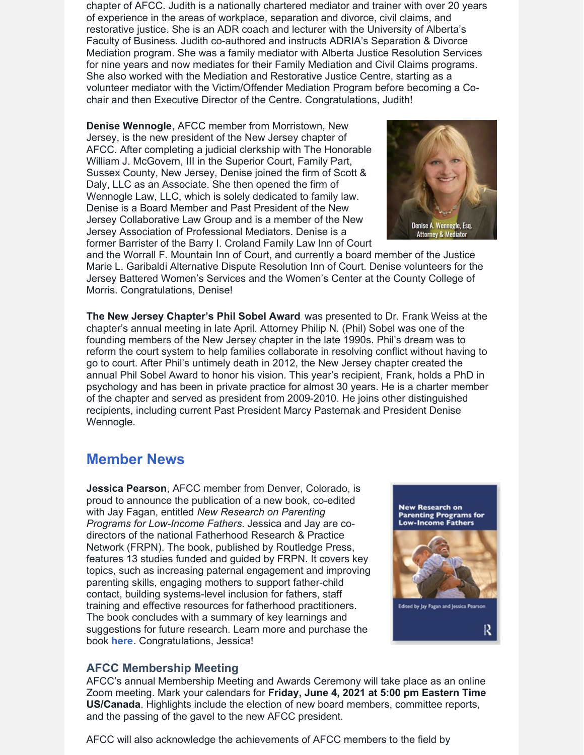chapter of AFCC. Judith is a nationally chartered mediator and trainer with over 20 years of experience in the areas of workplace, separation and divorce, civil claims, and restorative justice. She is an ADR coach and lecturer with the University of Alberta's Faculty of Business. Judith co-authored and instructs ADRIA's Separation & Divorce Mediation program. She was a family mediator with Alberta Justice Resolution Services for nine years and now mediates for their Family Mediation and Civil Claims programs. She also worked with the Mediation and Restorative Justice Centre, starting as a volunteer mediator with the Victim/Offender Mediation Program before becoming a Cochair and then Executive Director of the Centre. Congratulations, Judith!

**Denise Wennogle**, AFCC member from Morristown, New Jersey, is the new president of the New Jersey chapter of AFCC. After completing a judicial clerkship with The Honorable William J. McGovern, III in the Superior Court, Family Part, Sussex County, New Jersey, Denise joined the firm of Scott & Daly, LLC as an Associate. She then opened the firm of Wennogle Law, LLC, which is solely dedicated to family law. Denise is a Board Member and Past President of the New Jersey Collaborative Law Group and is a member of the New Jersey Association of Professional Mediators. Denise is a former Barrister of the Barry I. Croland Family Law Inn of Court



and the Worrall F. Mountain Inn of Court, and currently a board member of the Justice Marie L. Garibaldi Alternative Dispute Resolution Inn of Court. Denise volunteers for the Jersey Battered Women's Services and the Women's Center at the County College of Morris. Congratulations, Denise!

**The New Jersey Chapter's Phil Sobel Award** was presented to Dr. Frank Weiss at the chapter's annual meeting in late April. Attorney Philip N. (Phil) Sobel was one of the founding members of the New Jersey chapter in the late 1990s. Phil's dream was to reform the court system to help families collaborate in resolving conflict without having to go to court. After Phil's untimely death in 2012, the New Jersey chapter created the annual Phil Sobel Award to honor his vision. This year's recipient, Frank, holds a PhD in psychology and has been in private practice for almost 30 years. He is a charter member of the chapter and served as president from 2009-2010. He joins other distinguished recipients, including current Past President Marcy Pasternak and President Denise Wennogle.

# **Member News**

**Jessica Pearson**, AFCC member from Denver, Colorado, is proud to announce the publication of a new book, co-edited with Jay Fagan, entitled *New Research on Parenting Programs for Low-Income Fathers*. Jessica and Jay are codirectors of the national Fatherhood Research & Practice Network (FRPN). The book, published by Routledge Press, features 13 studies funded and guided by FRPN. It covers key topics, such as increasing paternal engagement and improving parenting skills, engaging mothers to support father-child contact, building systems-level inclusion for fathers, staff training and effective resources for fatherhood practitioners. The book concludes with a summary of key learnings and suggestions for future research. Learn more and purchase the book **[here](https://www.routledge.com/New-Research-on-Parenting-Programs-for-Low-Income-Fathers/Fagan-Pearson/p/book/9780367363420)**. Congratulations, Jessica!



## **AFCC Membership Meeting**

AFCC's annual Membership Meeting and Awards Ceremony will take place as an online Zoom meeting. Mark your calendars for **Friday, June 4, 2021 at 5:00 pm Eastern Time US/Canada**. Highlights include the election of new board members, committee reports, and the passing of the gavel to the new AFCC president.

AFCC will also acknowledge the achievements of AFCC members to the field by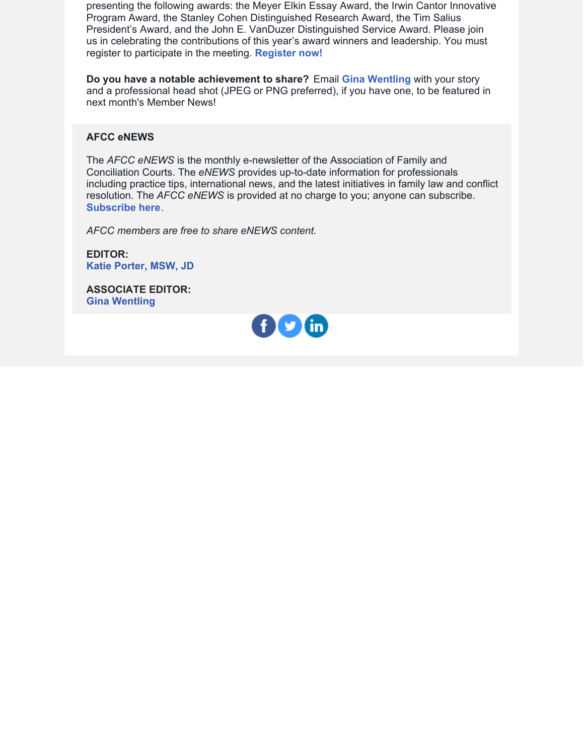presenting the following awards: the Meyer Elkin Essay Award, the Irwin Cantor Innovative Program Award, the Stanley Cohen Distinguished Research Award, the Tim Salius President's Award, and the John E. VanDuzer Distinguished Service Award. Please join us in celebrating the contributions of this year's award winners and leadership. You must register to participate in the meeting. **[Register](https://us02web.zoom.us/meeting/register/tZErd-qrrT0jHNQQC6k9zoObCMTBX8zNCd8k) now!**

**Do you have a notable achievement to share?** Email **Gina [Wentling](mailto:gwentling@afccnet.org)** with your story and a professional head shot (JPEG or PNG preferred), if you have one, to be featured in next month's Member News!

#### **AFCC eNEWS**

The *AFCC eNEWS* is the monthly e-newsletter of the Association of Family and Conciliation Courts. The *eNEWS* provides up-to-date information for professionals including practice tips, international news, and the latest initiatives in family law and conflict resolution. The *AFCC eNEWS* is provided at no charge to you; anyone can subscribe. **[Subscribe](http://www.afccnet.org/Resource-Center/AFCC-eNEWS) here**.

*AFCC members are free to share eNEWS content.*

**EDITOR: Katie [Porter,](mailto:kporter@afccnet.org) MSW, JD**

**ASSOCIATE EDITOR: Gina [Wentling](mailto:gwentling@afccnet.org)**

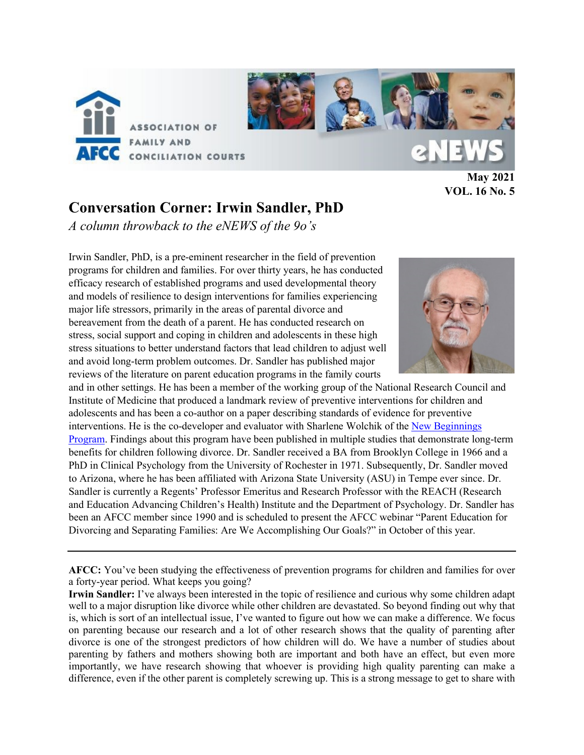

**May 2021 VOL. 16 No. 5**

# **Conversation Corner: Irwin Sandler, PhD**

*A column throwback to the eNEWS of the 9o's*

Irwin Sandler, PhD, is a pre-eminent researcher in the field of prevention programs for children and families. For over thirty years, he has conducted efficacy research of established programs and used developmental theory and models of resilience to design interventions for families experiencing major life stressors, primarily in the areas of parental divorce and bereavement from the death of a parent. He has conducted research on stress, social support and coping in children and adolescents in these high stress situations to better understand factors that lead children to adjust well and avoid long-term problem outcomes. Dr. Sandler has published major reviews of the literature on parent education programs in the family courts



and in other settings. He has been a member of the working group of the National Research Council and Institute of Medicine that produced a landmark review of preventive interventions for children and adolescents and has been a co-author on a paper describing standards of evidence for preventive interventions. He is the co-developer and evaluator with Sharlene Wolchik of the [New Beginnings](https://reachinstitute.asu.edu/programs/new-beginnings)  [Program.](https://reachinstitute.asu.edu/programs/new-beginnings) Findings about this program have been published in multiple studies that demonstrate long-term benefits for children following divorce. Dr. Sandler received a BA from Brooklyn College in 1966 and a PhD in Clinical Psychology from the University of Rochester in 1971. Subsequently, Dr. Sandler moved to Arizona, where he has been affiliated with Arizona State University (ASU) in Tempe ever since. Dr. Sandler is currently a Regents' Professor Emeritus and Research Professor with the REACH (Research and Education Advancing Children's Health) Institute and the Department of Psychology. Dr. Sandler has been an AFCC member since 1990 and is scheduled to present the AFCC webinar "Parent Education for Divorcing and Separating Families: Are We Accomplishing Our Goals?" in October of this year.

**AFCC:** You've been studying the effectiveness of prevention programs for children and families for over a forty-year period. What keeps you going?

**Irwin Sandler:** I've always been interested in the topic of resilience and curious why some children adapt well to a major disruption like divorce while other children are devastated. So beyond finding out why that is, which is sort of an intellectual issue, I've wanted to figure out how we can make a difference. We focus on parenting because our research and a lot of other research shows that the quality of parenting after divorce is one of the strongest predictors of how children will do. We have a number of studies about parenting by fathers and mothers showing both are important and both have an effect, but even more importantly, we have research showing that whoever is providing high quality parenting can make a difference, even if the other parent is completely screwing up. This is a strong message to get to share with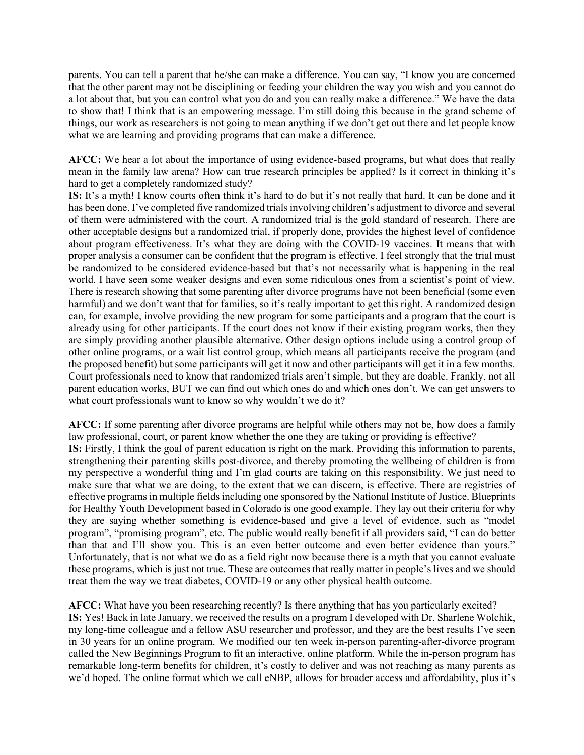parents. You can tell a parent that he/she can make a difference. You can say, "I know you are concerned that the other parent may not be disciplining or feeding your children the way you wish and you cannot do a lot about that, but you can control what you do and you can really make a difference." We have the data to show that! I think that is an empowering message. I'm still doing this because in the grand scheme of things, our work as researchers is not going to mean anything if we don't get out there and let people know what we are learning and providing programs that can make a difference.

**AFCC:** We hear a lot about the importance of using evidence-based programs, but what does that really mean in the family law arena? How can true research principles be applied? Is it correct in thinking it's hard to get a completely randomized study?

**IS:** It's a myth! I know courts often think it's hard to do but it's not really that hard. It can be done and it has been done. I've completed five randomized trials involving children's adjustment to divorce and several of them were administered with the court. A randomized trial is the gold standard of research. There are other acceptable designs but a randomized trial, if properly done, provides the highest level of confidence about program effectiveness. It's what they are doing with the COVID-19 vaccines. It means that with proper analysis a consumer can be confident that the program is effective. I feel strongly that the trial must be randomized to be considered evidence-based but that's not necessarily what is happening in the real world. I have seen some weaker designs and even some ridiculous ones from a scientist's point of view. There is research showing that some parenting after divorce programs have not been beneficial (some even harmful) and we don't want that for families, so it's really important to get this right. A randomized design can, for example, involve providing the new program for some participants and a program that the court is already using for other participants. If the court does not know if their existing program works, then they are simply providing another plausible alternative. Other design options include using a control group of other online programs, or a wait list control group, which means all participants receive the program (and the proposed benefit) but some participants will get it now and other participants will get it in a few months. Court professionals need to know that randomized trials aren't simple, but they are doable. Frankly, not all parent education works, BUT we can find out which ones do and which ones don't. We can get answers to what court professionals want to know so why wouldn't we do it?

**AFCC:** If some parenting after divorce programs are helpful while others may not be, how does a family law professional, court, or parent know whether the one they are taking or providing is effective? **IS:** Firstly, I think the goal of parent education is right on the mark. Providing this information to parents, strengthening their parenting skills post-divorce, and thereby promoting the wellbeing of children is from my perspective a wonderful thing and I'm glad courts are taking on this responsibility. We just need to make sure that what we are doing, to the extent that we can discern, is effective. There are registries of effective programs in multiple fields including one sponsored by the National Institute of Justice. Blueprints for Healthy Youth Development based in Colorado is one good example. They lay out their criteria for why they are saying whether something is evidence-based and give a level of evidence, such as "model program", "promising program", etc. The public would really benefit if all providers said, "I can do better than that and I'll show you. This is an even better outcome and even better evidence than yours." Unfortunately, that is not what we do as a field right now because there is a myth that you cannot evaluate these programs, which is just not true. These are outcomes that really matter in people's lives and we should treat them the way we treat diabetes, COVID-19 or any other physical health outcome.

**AFCC:** What have you been researching recently? Is there anything that has you particularly excited? **IS:** Yes! Back in late January, we received the results on a program I developed with Dr. Sharlene Wolchik, my long-time colleague and a fellow ASU researcher and professor, and they are the best results I've seen in 30 years for an online program. We modified our ten week in-person parenting-after-divorce program called the New Beginnings Program to fit an interactive, online platform. While the in-person program has remarkable long-term benefits for children, it's costly to deliver and was not reaching as many parents as we'd hoped. The online format which we call eNBP, allows for broader access and affordability, plus it's